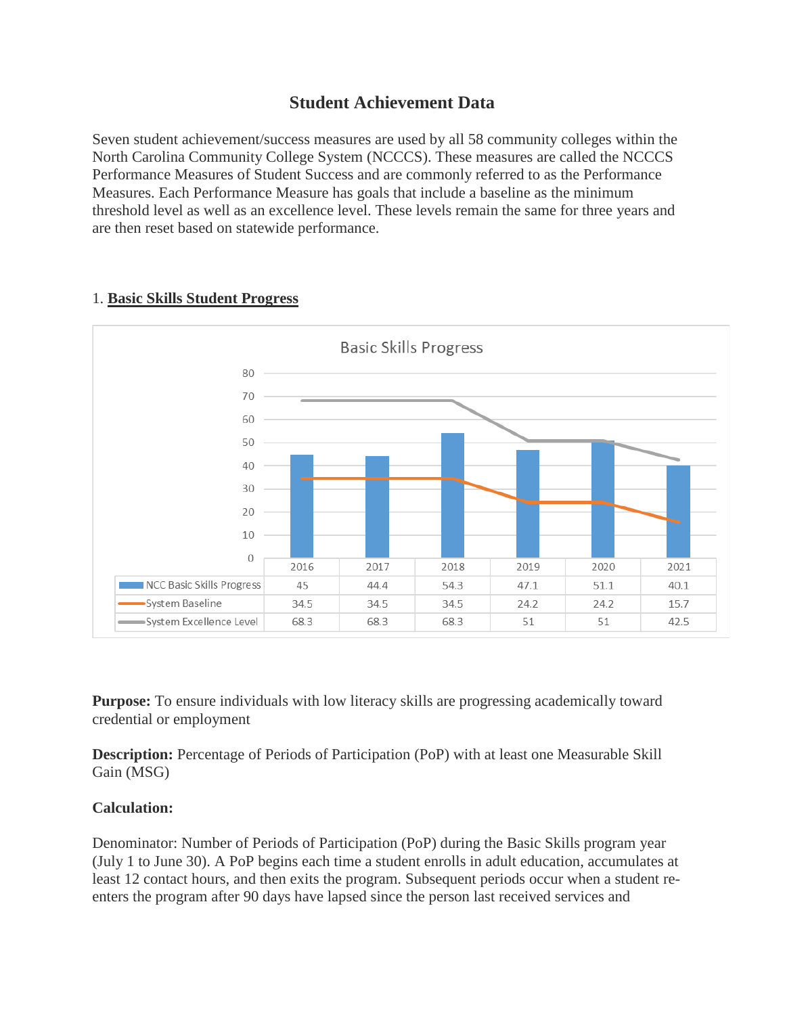# **Student Achievement Data**

Seven student achievement/success measures are used by all 58 community colleges within the North Carolina Community College System (NCCCS). These measures are called the NCCCS Performance Measures of Student Success and are commonly referred to as the Performance Measures. Each Performance Measure has goals that include a baseline as the minimum threshold level as well as an excellence level. These levels remain the same for three years and are then reset based on statewide performance.



# 1. **Basic Skills Student Progress**

**Purpose:** To ensure individuals with low literacy skills are progressing academically toward credential or employment

**Description:** Percentage of Periods of Participation (PoP) with at least one Measurable Skill Gain (MSG)

## **Calculation:**

Denominator: Number of Periods of Participation (PoP) during the Basic Skills program year (July 1 to June 30). A PoP begins each time a student enrolls in adult education, accumulates at least 12 contact hours, and then exits the program. Subsequent periods occur when a student reenters the program after 90 days have lapsed since the person last received services and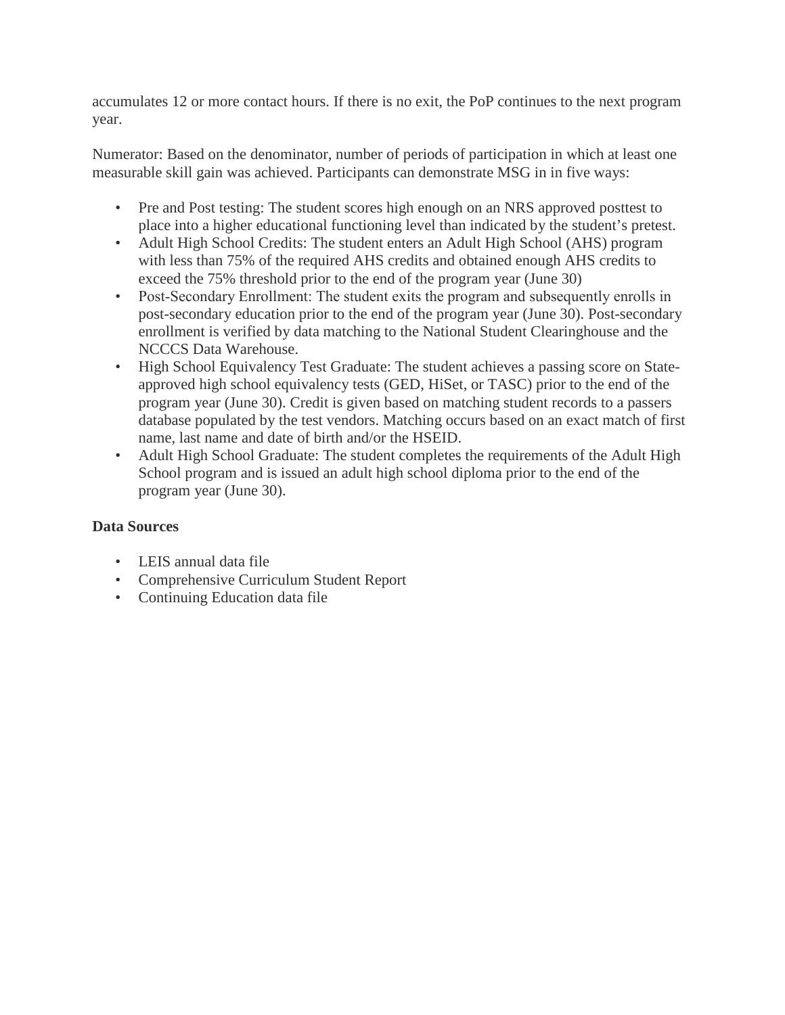accumulates 12 or more contact hours. If there is no exit, the PoP continues to the next program year.

Numerator: Based on the denominator, number of periods of participation in which at least one measurable skill gain was achieved. Participants can demonstrate MSG in in five ways:

- Pre and Post testing: The student scores high enough on an NRS approved posttest to place into a higher educational functioning level than indicated by the student's pretest.
- Adult High School Credits: The student enters an Adult High School (AHS) program with less than 75% of the required AHS credits and obtained enough AHS credits to exceed the 75% threshold prior to the end of the program year (June 30)
- Post-Secondary Enrollment: The student exits the program and subsequently enrolls in post-secondary education prior to the end of the program year (June 30). Post-secondary enrollment is verified by data matching to the National Student Clearinghouse and the NCCCS Data Warehouse.
- High School Equivalency Test Graduate: The student achieves a passing score on Stateapproved high school equivalency tests (GED, HiSet, or TASC) prior to the end of the program year (June 30). Credit is given based on matching student records to a passers database populated by the test vendors. Matching occurs based on an exact match of first name, last name and date of birth and/or the HSEID.
- Adult High School Graduate: The student completes the requirements of the Adult High School program and is issued an adult high school diploma prior to the end of the program year (June 30).

- LEIS annual data file
- Comprehensive Curriculum Student Report
- Continuing Education data file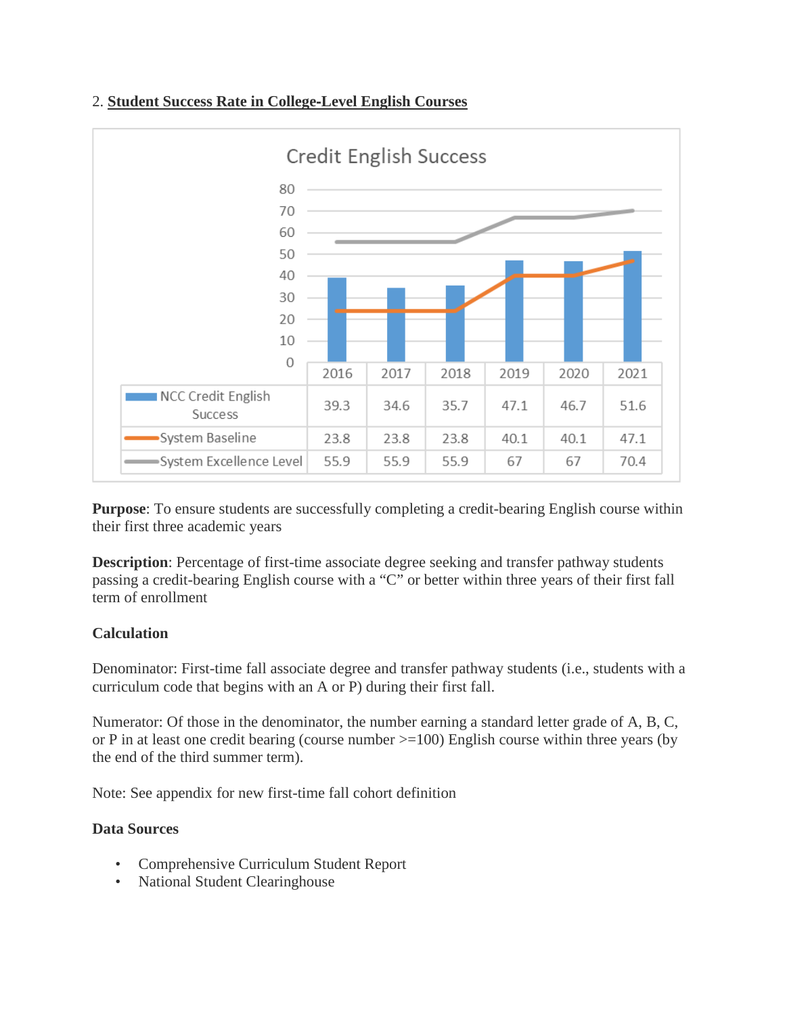



**Purpose**: To ensure students are successfully completing a credit-bearing English course within their first three academic years

**Description**: Percentage of first-time associate degree seeking and transfer pathway students passing a credit-bearing English course with a "C" or better within three years of their first fall term of enrollment

## **Calculation**

Denominator: First-time fall associate degree and transfer pathway students (i.e., students with a curriculum code that begins with an A or P) during their first fall.

Numerator: Of those in the denominator, the number earning a standard letter grade of A, B, C, or P in at least one credit bearing (course number >=100) English course within three years (by the end of the third summer term).

Note: See appendix for new first-time fall cohort definition

- Comprehensive Curriculum Student Report
- National Student Clearinghouse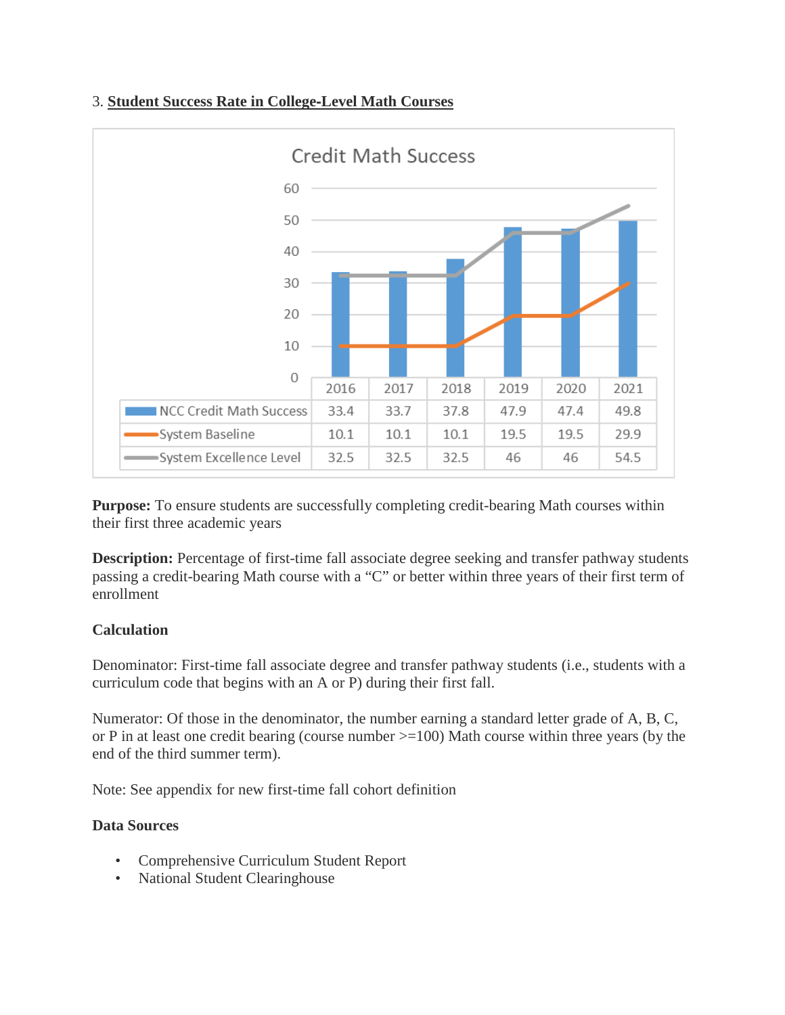# 3. **Student Success Rate in College**‐**Level Math Courses**



**Purpose:** To ensure students are successfully completing credit-bearing Math courses within their first three academic years

**Description:** Percentage of first-time fall associate degree seeking and transfer pathway students passing a credit-bearing Math course with a "C" or better within three years of their first term of enrollment

## **Calculation**

Denominator: First-time fall associate degree and transfer pathway students (i.e., students with a curriculum code that begins with an A or P) during their first fall.

Numerator: Of those in the denominator, the number earning a standard letter grade of A, B, C, or P in at least one credit bearing (course number >=100) Math course within three years (by the end of the third summer term).

Note: See appendix for new first-time fall cohort definition

- Comprehensive Curriculum Student Report
- National Student Clearinghouse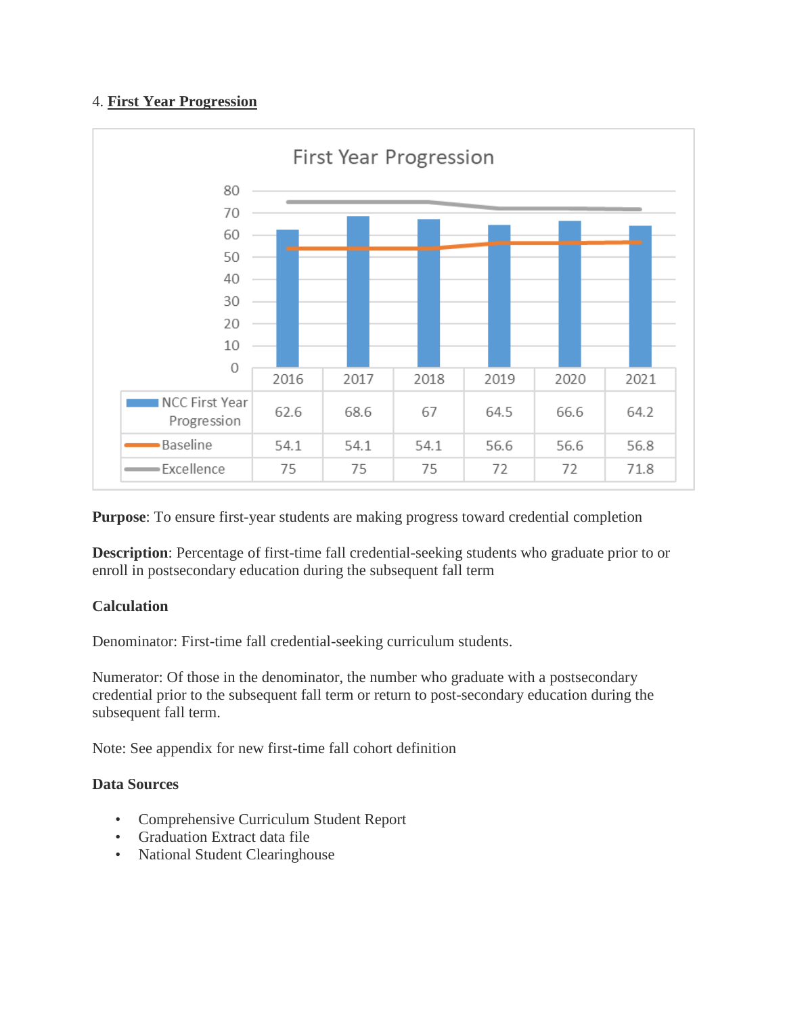# 4. **First Year Progression**



**Purpose**: To ensure first-year students are making progress toward credential completion

**Description**: Percentage of first-time fall credential-seeking students who graduate prior to or enroll in postsecondary education during the subsequent fall term

## **Calculation**

Denominator: First-time fall credential-seeking curriculum students.

Numerator: Of those in the denominator, the number who graduate with a postsecondary credential prior to the subsequent fall term or return to post-secondary education during the subsequent fall term.

Note: See appendix for new first-time fall cohort definition

- Comprehensive Curriculum Student Report
- Graduation Extract data file
- National Student Clearinghouse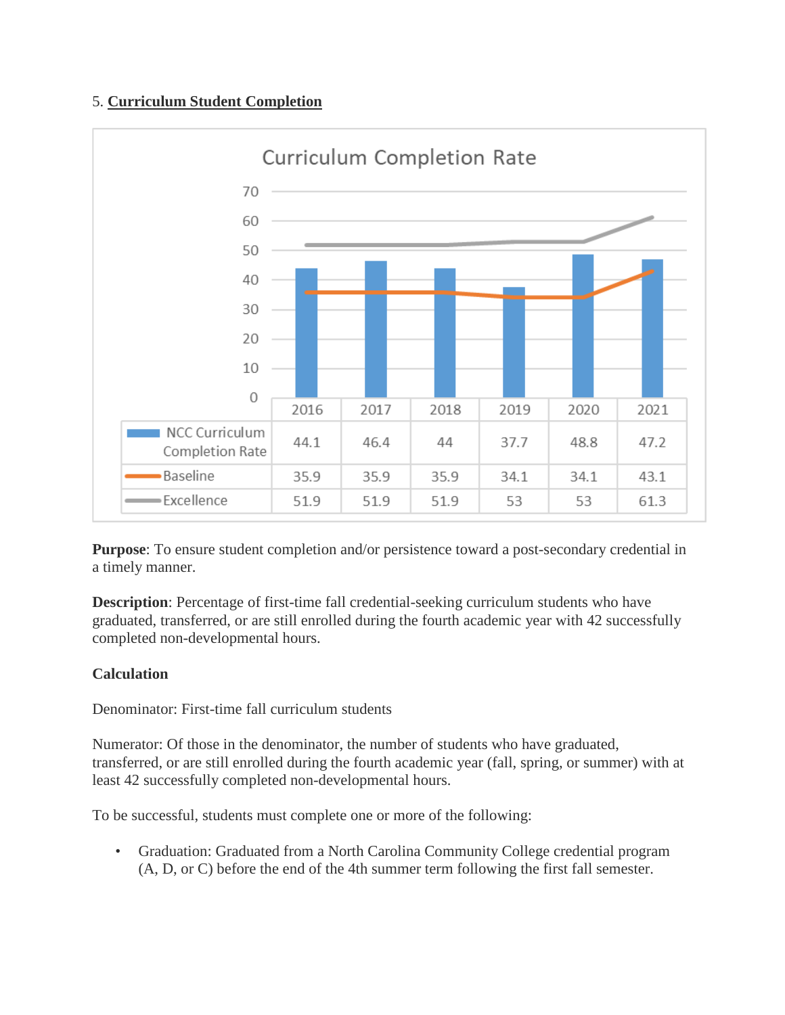# 5. **Curriculum Student Completion**



**Purpose**: To ensure student completion and/or persistence toward a post-secondary credential in a timely manner.

**Description**: Percentage of first-time fall credential-seeking curriculum students who have graduated, transferred, or are still enrolled during the fourth academic year with 42 successfully completed non-developmental hours.

# **Calculation**

Denominator: First-time fall curriculum students

Numerator: Of those in the denominator, the number of students who have graduated, transferred, or are still enrolled during the fourth academic year (fall, spring, or summer) with at least 42 successfully completed non-developmental hours.

To be successful, students must complete one or more of the following:

• Graduation: Graduated from a North Carolina Community College credential program (A, D, or C) before the end of the 4th summer term following the first fall semester.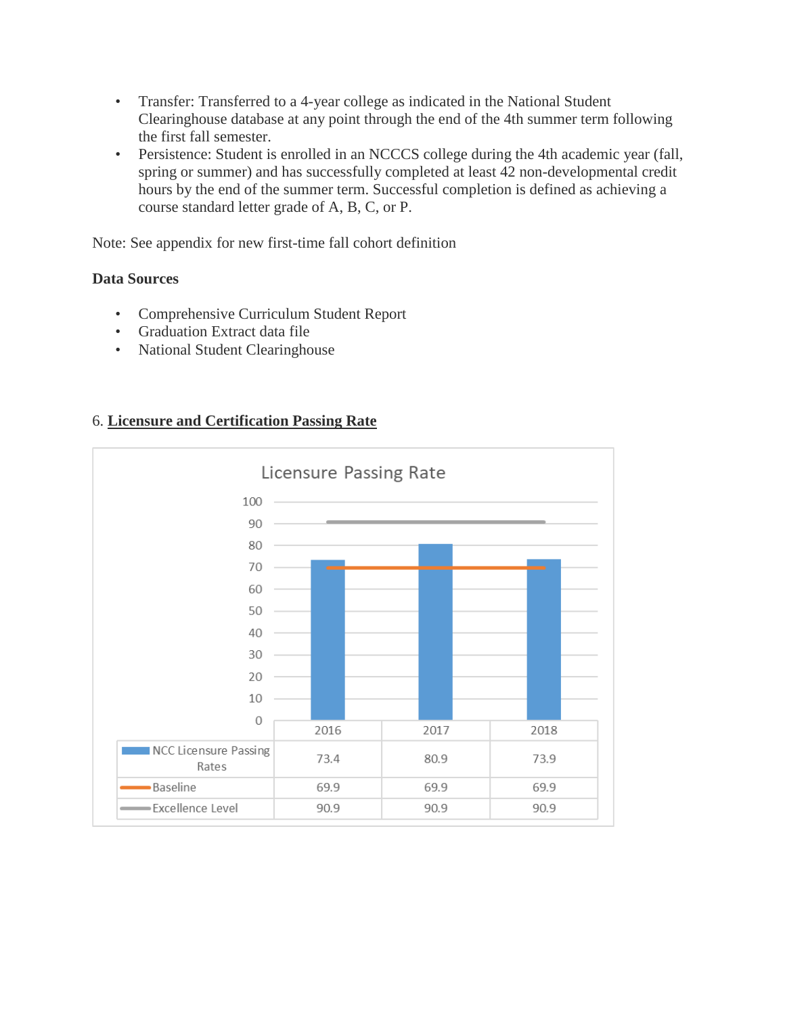- Transfer: Transferred to a 4-year college as indicated in the National Student Clearinghouse database at any point through the end of the 4th summer term following the first fall semester.
- Persistence: Student is enrolled in an NCCCS college during the 4th academic year (fall, spring or summer) and has successfully completed at least 42 non-developmental credit hours by the end of the summer term. Successful completion is defined as achieving a course standard letter grade of A, B, C, or P.

Note: See appendix for new first-time fall cohort definition

#### **Data Sources**

- Comprehensive Curriculum Student Report
- Graduation Extract data file
- National Student Clearinghouse

# 6. **Licensure and Certification Passing Rate**

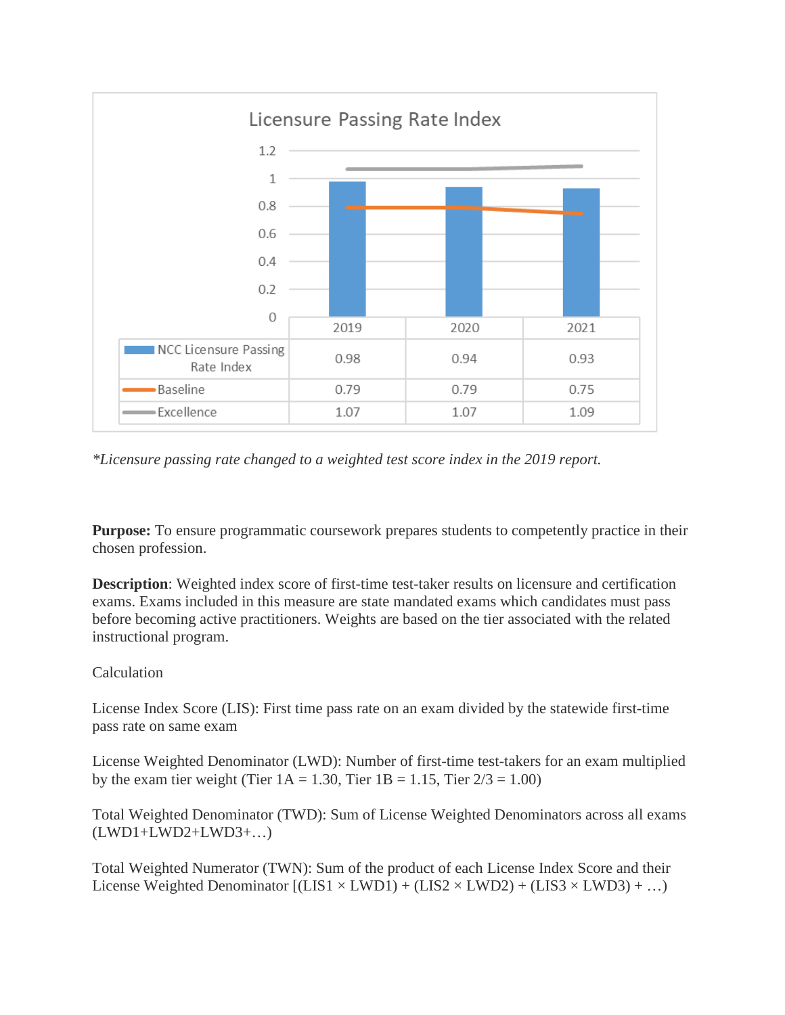

*\*Licensure passing rate changed to a weighted test score index in the 2019 report.*

**Purpose:** To ensure programmatic coursework prepares students to competently practice in their chosen profession.

**Description**: Weighted index score of first-time test-taker results on licensure and certification exams. Exams included in this measure are state mandated exams which candidates must pass before becoming active practitioners. Weights are based on the tier associated with the related instructional program.

#### Calculation

License Index Score (LIS): First time pass rate on an exam divided by the statewide first-time pass rate on same exam

License Weighted Denominator (LWD): Number of first-time test-takers for an exam multiplied by the exam tier weight (Tier  $1A = 1.30$ , Tier  $1B = 1.15$ , Tier  $2/3 = 1.00$ )

Total Weighted Denominator (TWD): Sum of License Weighted Denominators across all exams (LWD1+LWD2+LWD3+…)

Total Weighted Numerator (TWN): Sum of the product of each License Index Score and their License Weighted Denominator  $[(LIS1 \times LWD1) + (LIS2 \times LWD2) + (LIS3 \times LWD3) + ...)$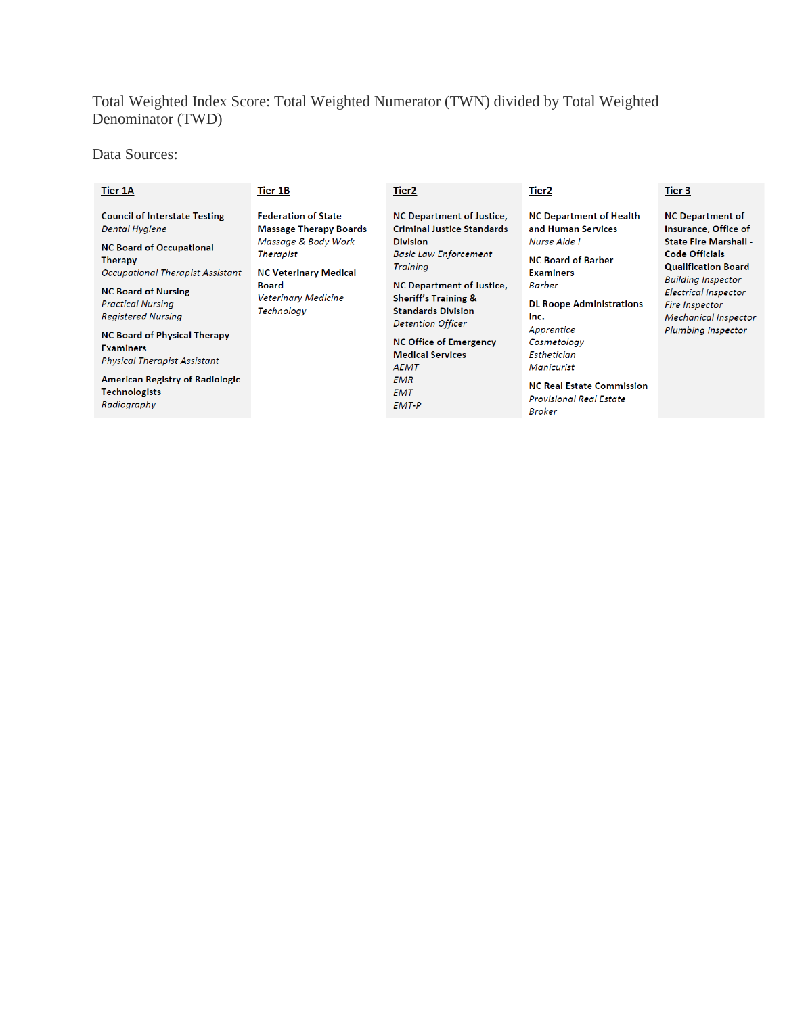# Total Weighted Index Score: Total Weighted Numerator (TWN) divided by Total Weighted Denominator (TWD)

Data Sources:

| Tier 1A                                                                                                                                                                                                                                                                              | Tier 1B                                                                                                                                                                                     | Tier <sub>2</sub>                                                                                                                                                                                                                                                           | Tier2                                                                                                                                                                                           | Tier 3                                                                                                                                                                                                                                                                    |
|--------------------------------------------------------------------------------------------------------------------------------------------------------------------------------------------------------------------------------------------------------------------------------------|---------------------------------------------------------------------------------------------------------------------------------------------------------------------------------------------|-----------------------------------------------------------------------------------------------------------------------------------------------------------------------------------------------------------------------------------------------------------------------------|-------------------------------------------------------------------------------------------------------------------------------------------------------------------------------------------------|---------------------------------------------------------------------------------------------------------------------------------------------------------------------------------------------------------------------------------------------------------------------------|
| <b>Council of Interstate Testing</b><br>Dental Hygiene<br><b>NC Board of Occupational</b><br><b>Therapy</b><br><b>Occupational Therapist Assistant</b><br><b>NC Board of Nursing</b><br><b>Practical Nursing</b><br><b>Registered Nursing</b><br><b>NC Board of Physical Therapy</b> | <b>Federation of State</b><br><b>Massage Therapy Boards</b><br>Massage & Body Work<br><b>Therapist</b><br><b>NC Veterinary Medical</b><br><b>Board</b><br>Veterinary Medicine<br>Technology | <b>NC Department of Justice,</b><br><b>Criminal Justice Standards</b><br><b>Division</b><br><b>Basic Law Enforcement</b><br><b>Training</b><br><b>NC Department of Justice,</b><br><b>Sheriff's Training &amp;</b><br><b>Standards Division</b><br><b>Detention Officer</b> | <b>NC Department of Health</b><br>and Human Services<br>Nurse Aide I<br><b>NC Board of Barber</b><br><b>Examiners</b><br><b>Barber</b><br><b>DL Roope Administrations</b><br>Inc.<br>Apprentice | <b>NC Department of</b><br>Insurance, Office of<br><b>State Fire Marshall -</b><br>Code Officials<br><b>Qualification Board</b><br><b>Building Inspector</b><br>Electrical Inspector<br><b>Fire Inspector</b><br><b>Mechanical Inspector</b><br><b>Plumbing Inspector</b> |
| <b>Examiners</b><br><b>Physical Therapist Assistant</b><br><b>American Registry of Radiologic</b>                                                                                                                                                                                    |                                                                                                                                                                                             | <b>NC Office of Emergency</b><br><b>Medical Services</b><br><b>AEMT</b><br><b>EMR</b>                                                                                                                                                                                       | Cosmetology<br>Esthetician<br>Manicurist                                                                                                                                                        |                                                                                                                                                                                                                                                                           |
| Technologists<br>Radiography                                                                                                                                                                                                                                                         |                                                                                                                                                                                             | <b>EMT</b><br>EMT-P                                                                                                                                                                                                                                                         | <b>NC Real Estate Commission</b><br><b>Provisional Real Estate</b><br>$\mathbf{B} = \mathbf{I}$                                                                                                 |                                                                                                                                                                                                                                                                           |

**Broker**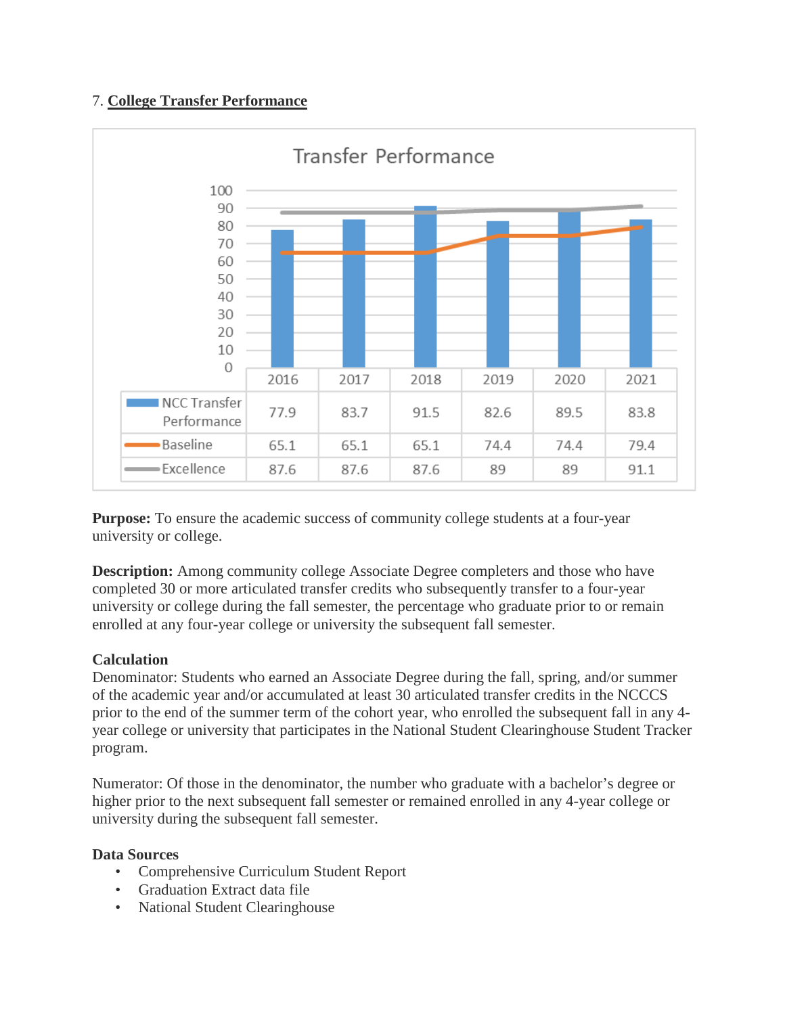# 7. **College Transfer Performance**



**Purpose:** To ensure the academic success of community college students at a four-year university or college.

**Description:** Among community college Associate Degree completers and those who have completed 30 or more articulated transfer credits who subsequently transfer to a four-year university or college during the fall semester, the percentage who graduate prior to or remain enrolled at any four-year college or university the subsequent fall semester.

## **Calculation**

Denominator: Students who earned an Associate Degree during the fall, spring, and/or summer of the academic year and/or accumulated at least 30 articulated transfer credits in the NCCCS prior to the end of the summer term of the cohort year, who enrolled the subsequent fall in any 4 year college or university that participates in the National Student Clearinghouse Student Tracker program.

Numerator: Of those in the denominator, the number who graduate with a bachelor's degree or higher prior to the next subsequent fall semester or remained enrolled in any 4-year college or university during the subsequent fall semester.

- Comprehensive Curriculum Student Report
- Graduation Extract data file
- National Student Clearinghouse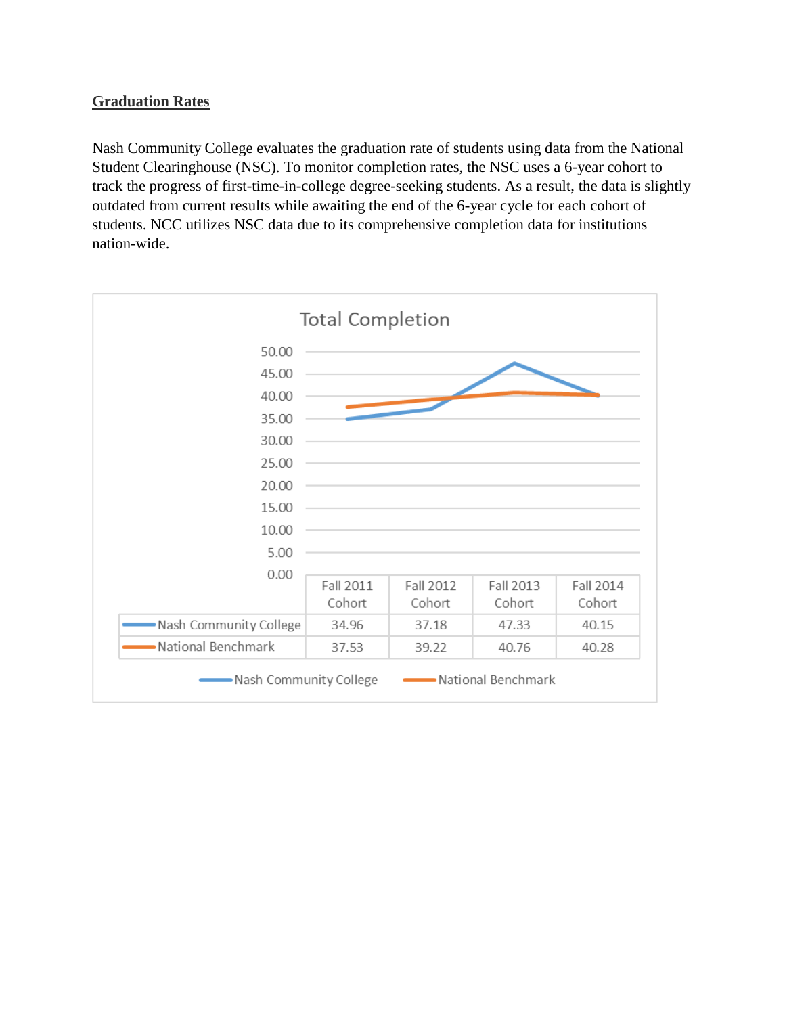# **Graduation Rates**

Nash Community College evaluates the graduation rate of students using data from the National Student Clearinghouse (NSC). To monitor completion rates, the NSC uses a 6-year cohort to track the progress of first-time-in-college degree-seeking students. As a result, the data is slightly outdated from current results while awaiting the end of the 6-year cycle for each cohort of students. NCC utilizes NSC data due to its comprehensive completion data for institutions nation-wide.